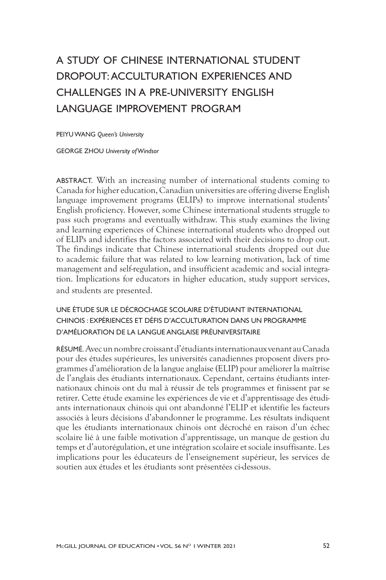# A STUDY OF CHINESE INTERNATIONAL STUDENT DROPOUT: ACCULTURATION EXPERIENCES AND CHALLENGES IN A PRE-UNIVERSITY ENGLISH LANGUAGE IMPROVEMENT PROGRAM

PEIYU WANG *Queen's University* 

GEORGE ZHOU *University of Windsor* 

ABSTRACT. With an increasing number of international students coming to Canada for higher education, Canadian universities are offering diverse English language improvement programs (ELIPs) to improve international students' English proficiency. However, some Chinese international students struggle to pass such programs and eventually withdraw. This study examines the living and learning experiences of Chinese international students who dropped out of ELIPs and identifies the factors associated with their decisions to drop out. The findings indicate that Chinese international students dropped out due to academic failure that was related to low learning motivation, lack of time management and self-regulation, and insufficient academic and social integration. Implications for educators in higher education, study support services, and students are presented.

## UNE ÉTUDE SUR LE DÉCROCHAGE SCOLAIRE D'ÉTUDIANT INTERNATIONAL CHINOIS : EXPÉRIENCES ET DÉFIS D'ACCULTURATION DANS UN PROGRAMME D'AMÉLIORATION DE LA LANGUE ANGLAISE PRÉUNIVERSITAIRE

RÉSUMÉ.Avec un nombre croissant d'étudiants internationaux venant au Canada pour des études supérieures, les universités canadiennes proposent divers programmes d'amélioration de la langue anglaise (ELIP) pour améliorer la maîtrise de l'anglais des étudiants internationaux. Cependant, certains étudiants internationaux chinois ont du mal à réussir de tels programmes et finissent par se retirer. Cette étude examine les expériences de vie et d'apprentissage des étudiants internationaux chinois qui ont abandonné l'ELIP et identifie les facteurs associés à leurs décisions d'abandonner le programme. Les résultats indiquent que les étudiants internationaux chinois ont décroché en raison d'un échec scolaire lié à une faible motivation d'apprentissage, un manque de gestion du temps et d'autorégulation, et une intégration scolaire et sociale insuffisante. Les implications pour les éducateurs de l'enseignement supérieur, les services de soutien aux études et les étudiants sont présentées ci-dessous.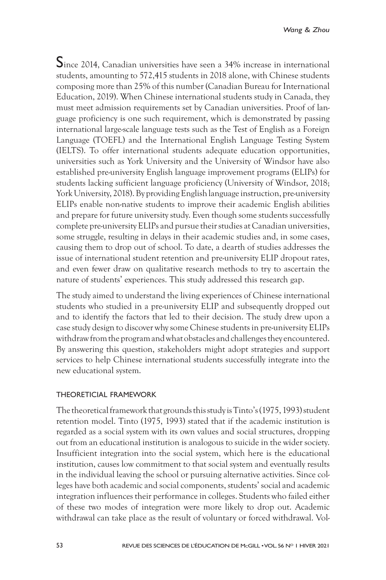Since 2014, Canadian universities have seen a 34% increase in international students, amounting to 572,415 students in 2018 alone, with Chinese students composing more than 25% of this number (Canadian Bureau for International Education, 2019). When Chinese international students study in Canada, they must meet admission requirements set by Canadian universities. Proof of language proficiency is one such requirement, which is demonstrated by passing international large-scale language tests such as the Test of English as a Foreign Language (TOEFL) and the International English Language Testing System (IELTS). To offer international students adequate education opportunities, universities such as York University and the University of Windsor have also established pre-university English language improvement programs (ELIPs) for students lacking sufficient language proficiency (University of Windsor, 2018; York University, 2018). By providing English language instruction, pre-university ELIPs enable non-native students to improve their academic English abilities and prepare for future university study. Even though some students successfully complete pre-university ELIPs and pursue their studies at Canadian universities, some struggle, resulting in delays in their academic studies and, in some cases, causing them to drop out of school. To date, a dearth of studies addresses the issue of international student retention and pre-university ELIP dropout rates, and even fewer draw on qualitative research methods to try to ascertain the nature of students' experiences. This study addressed this research gap.

The study aimed to understand the living experiences of Chinese international students who studied in a pre-university ELIP and subsequently dropped out and to identify the factors that led to their decision. The study drew upon a case study design to discover why some Chinese students in pre-university ELIPs withdraw from the program and what obstacles and challenges they encountered. By answering this question, stakeholders might adopt strategies and support services to help Chinese international students successfully integrate into the new educational system.

#### THEORETICIAL FRAMEWORK

The theoretical framework that grounds this study is Tinto's (1975, 1993) student retention model. Tinto (1975, 1993) stated that if the academic institution is regarded as a social system with its own values and social structures, dropping out from an educational institution is analogous to suicide in the wider society. Insufficient integration into the social system, which here is the educational institution, causes low commitment to that social system and eventually results in the individual leaving the school or pursuing alternative activities. Since colleges have both academic and social components, students' social and academic integration influences their performance in colleges. Students who failed either of these two modes of integration were more likely to drop out. Academic withdrawal can take place as the result of voluntary or forced withdrawal. Vol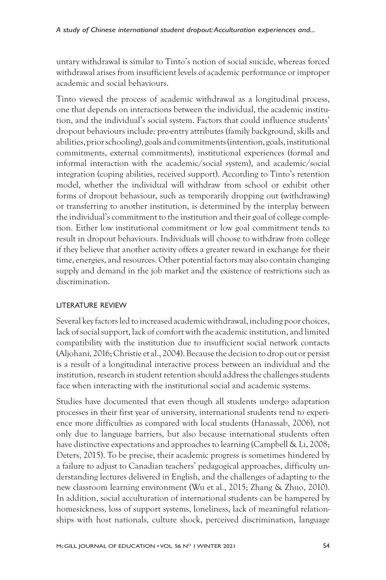untary withdrawal is similar to Tinto's notion of social suicide, whereas forced withdrawal arises from insufficient levels of academic performance or improper academic and social behaviours.

Tinto viewed the process of academic withdrawal as a longitudinal process, one that depends on interactions between the individual, the academic institution, and the individual's social system. Factors that could influence students' dropout behaviours include: pre-entry attributes (family background, skills and abilities, prior schooling), goals and commitments (intention, goals, institutional commitments, external commitments), institutional experiences (formal and informal interaction with the academic/social system), and academic/social integration (coping abilities, received support). According to Tinto's retention model, whether the individual will withdraw from school or exhibit other forms of dropout behaviour, such as temporarily dropping out (withdrawing) or transferring to another institution, is determined by the interplay between the individual's commitment to the institution and their goal of college completion. Either low institutional commitment or low goal commitment tends to result in dropout behaviours. Individuals will choose to withdraw from college if they believe that another activity offers a greater reward in exchange for their time, energies, and resources. Other potential factors may also contain changing supply and demand in the job market and the existence of restrictions such as discrimination.

# LITERATURE REVIEW

Several key factors led to increased academic withdrawal, including poor choices, lack of social support, lack of comfort with the academic institution, and limited compatibility with the institution due to insufficient social network contacts (Aljohani, 2016; Christie et al., 2004). Because the decision to drop out or persist is a result of a longitudinal interactive process between an individual and the institution, research in student retention should address the challenges students face when interacting with the institutional social and academic systems.

Studies have documented that even though all students undergo adaptation processes in their first year of university, international students tend to experience more difficulties as compared with local students (Hanassab, 2006), not only due to language barriers, but also because international students often have distinctive expectations and approaches to learning (Campbell & Li, 2008; Deters, 2015). To be precise, their academic progress is sometimes hindered by a failure to adjust to Canadian teachers' pedagogical approaches, difficulty understanding lectures delivered in English, and the challenges of adapting to the new classroom learning environment (Wu et al., 2015; Zhang & Zhuo, 2010). In addition, social acculturation of international students can be hampered by homesickness, loss of support systems, loneliness, lack of meaningful relationships with host nationals, culture shock, perceived discrimination, language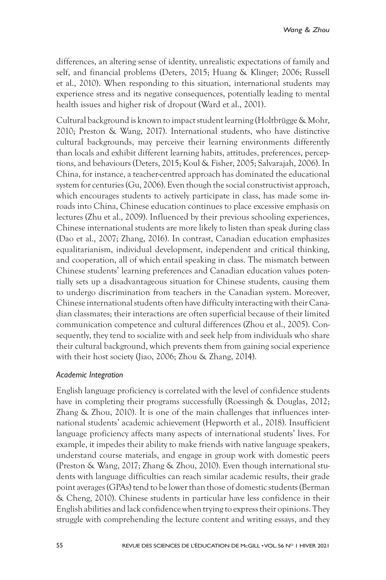differences, an altering sense of identity, unrealistic expectations of family and self, and financial problems (Deters, 2015; Huang & Klinger; 2006; Russell et al., 2010). When responding to this situation, international students may experience stress and its negative consequences, potentially leading to mental health issues and higher risk of dropout (Ward et al., 2001).

Cultural background is known to impact student learning (Holtbrügge & Mohr, 2010; Preston & Wang, 2017). International students, who have distinctive cultural backgrounds, may perceive their learning environments differently than locals and exhibit different learning habits, attitudes, preferences, perceptions, and behaviours (Deters, 2015; Koul & Fisher, 2005; Salvarajah, 2006). In China, for instance, a teacher-centred approach has dominated the educational system for centuries (Gu, 2006). Even though the social constructivist approach, which encourages students to actively participate in class, has made some inroads into China, Chinese education continues to place excessive emphasis on lectures (Zhu et al., 2009). Influenced by their previous schooling experiences, Chinese international students are more likely to listen than speak during class (Dao et al., 2007; Zhang, 2016). In contrast, Canadian education emphasizes equalitarianism, individual development, independent and critical thinking, and cooperation, all of which entail speaking in class. The mismatch between Chinese students' learning preferences and Canadian education values potentially sets up a disadvantageous situation for Chinese students, causing them to undergo discrimination from teachers in the Canadian system. Moreover, Chinese international students often have difficulty interacting with their Canadian classmates; their interactions are often superficial because of their limited communication competence and cultural differences (Zhou et al., 2005). Consequently, they tend to socialize with and seek help from individuals who share their cultural background, which prevents them from gaining social experience with their host society (Jiao, 2006; Zhou & Zhang, 2014).

## *Academic Integration*

English language proficiency is correlated with the level of confidence students have in completing their programs successfully (Roessingh & Douglas, 2012; Zhang & Zhou, 2010). It is one of the main challenges that influences international students' academic achievement (Hepworth et al., 2018). Insufficient language proficiency affects many aspects of international students' lives. For example, it impedes their ability to make friends with native language speakers, understand course materials, and engage in group work with domestic peers (Preston & Wang, 2017; Zhang & Zhou, 2010). Even though international students with language difficulties can reach similar academic results, their grade point averages (GPAs) tend to be lower than those of domestic students (Berman & Cheng, 2010). Chinese students in particular have less confidence in their English abilities and lack confidence when trying to express their opinions. They struggle with comprehending the lecture content and writing essays, and they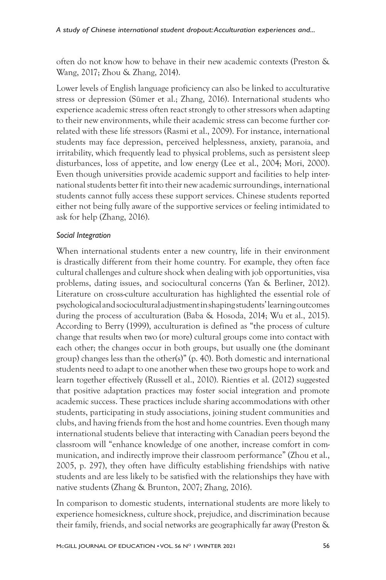often do not know how to behave in their new academic contexts (Preston & Wang, 2017; Zhou & Zhang, 2014).

Lower levels of English language proficiency can also be linked to acculturative stress or depression (Sümer et al.; Zhang, 2016). International students who experience academic stress often react strongly to other stressors when adapting to their new environments, while their academic stress can become further correlated with these life stressors (Rasmi et al., 2009). For instance, international students may face depression, perceived helplessness, anxiety, paranoia, and irritability, which frequently lead to physical problems, such as persistent sleep disturbances, loss of appetite, and low energy (Lee et al., 2004; Mori, 2000). Even though universities provide academic support and facilities to help international students better fit into their new academic surroundings, international students cannot fully access these support services. Chinese students reported either not being fully aware of the supportive services or feeling intimidated to ask for help (Zhang, 2016).

## *Social Integration*

When international students enter a new country, life in their environment is drastically different from their home country. For example, they often face cultural challenges and culture shock when dealing with job opportunities, visa problems, dating issues, and sociocultural concerns (Yan & Berliner, 2012). Literature on cross-culture acculturation has highlighted the essential role of psychological and sociocultural adjustment in shaping students' learning outcomes during the process of acculturation (Baba & Hosoda, 2014; Wu et al., 2015). According to Berry (1999), acculturation is defined as "the process of culture change that results when two (or more) cultural groups come into contact with each other; the changes occur in both groups, but usually one (the dominant group) changes less than the other(s)" (p. 40). Both domestic and international students need to adapt to one another when these two groups hope to work and learn together effectively (Russell et al., 2010). Rienties et al. (2012) suggested that positive adaptation practices may foster social integration and promote academic success. These practices include sharing accommodations with other students, participating in study associations, joining student communities and clubs, and having friends from the host and home countries. Even though many international students believe that interacting with Canadian peers beyond the classroom will "enhance knowledge of one another, increase comfort in communication, and indirectly improve their classroom performance" (Zhou et al., 2005, p. 297), they often have difficulty establishing friendships with native students and are less likely to be satisfied with the relationships they have with native students (Zhang & Brunton, 2007; Zhang, 2016).

In comparison to domestic students, international students are more likely to experience homesickness, culture shock, prejudice, and discrimination because their family, friends, and social networks are geographically far away (Preston &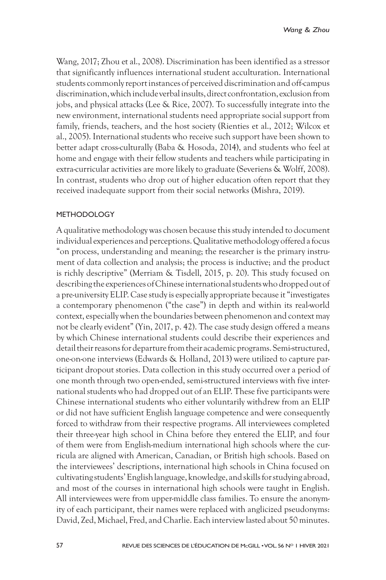Wang, 2017; Zhou et al., 2008). Discrimination has been identified as a stressor that significantly influences international student acculturation. International students commonly report instances of perceived discrimination and off-campus discrimination, which include verbal insults, direct confrontation, exclusion from jobs, and physical attacks (Lee & Rice, 2007). To successfully integrate into the new environment, international students need appropriate social support from family, friends, teachers, and the host society (Rienties et al., 2012; Wilcox et al., 2005). International students who receive such support have been shown to better adapt cross-culturally (Baba & Hosoda, 2014), and students who feel at home and engage with their fellow students and teachers while participating in extra-curricular activities are more likely to graduate (Severiens & Wolff, 2008). In contrast, students who drop out of higher education often report that they received inadequate support from their social networks (Mishra, 2019).

### METHODOLOGY

A qualitative methodology was chosen because this study intended to document individual experiences and perceptions. Qualitative methodology offered a focus "on process, understanding and meaning; the researcher is the primary instrument of data collection and analysis; the process is inductive; and the product is richly descriptive" (Merriam & Tisdell, 2015, p. 20). This study focused on describing the experiences of Chinese international students who dropped out of a pre-university ELIP. Case study is especially appropriate because it "investigates a contemporary phenomenon ("the case") in depth and within its real-world context, especially when the boundaries between phenomenon and context may not be clearly evident" (Yin, 2017, p. 42). The case study design offered a means by which Chinese international students could describe their experiences and detail their reasons for departure from their academic programs. Semi-structured, one-on-one interviews (Edwards & Holland, 2013) were utilized to capture participant dropout stories. Data collection in this study occurred over a period of one month through two open-ended, semi-structured interviews with five international students who had dropped out of an ELIP. These five participants were Chinese international students who either voluntarily withdrew from an ELIP or did not have sufficient English language competence and were consequently forced to withdraw from their respective programs. All interviewees completed their three-year high school in China before they entered the ELIP, and four of them were from English-medium international high schools where the curricula are aligned with American, Canadian, or British high schools. Based on the interviewees' descriptions, international high schools in China focused on cultivating students' English language, knowledge, and skills for studying abroad, and most of the courses in international high schools were taught in English. All interviewees were from upper-middle class families. To ensure the anonymity of each participant, their names were replaced with anglicized pseudonyms: David, Zed, Michael, Fred, and Charlie. Each interview lasted about 50 minutes.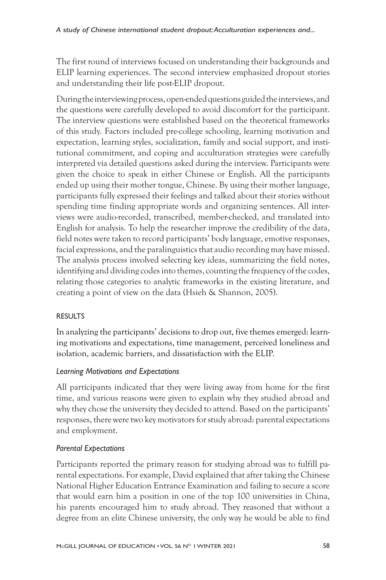The first round of interviews focused on understanding their backgrounds and ELIP learning experiences. The second interview emphasized dropout stories and understanding their life post-ELIP dropout.

During the interviewing process, open-ended questions guided the interviews, and the questions were carefully developed to avoid discomfort for the participant. The interview questions were established based on the theoretical frameworks of this study. Factors included pre-college schooling, learning motivation and expectation, learning styles, socialization, family and social support, and institutional commitment, and coping and acculturation strategies were carefully interpreted via detailed questions asked during the interview. Participants were given the choice to speak in either Chinese or English. All the participants ended up using their mother tongue, Chinese. By using their mother language, participants fully expressed their feelings and talked about their stories without spending time finding appropriate words and organizing sentences. All interviews were audio-recorded, transcribed, member-checked, and translated into English for analysis. To help the researcher improve the credibility of the data, field notes were taken to record participants' body language, emotive responses, facial expressions, and the paralinguistics that audio recording may have missed. The analysis process involved selecting key ideas, summarizing the field notes, identifying and dividing codes into themes, counting the frequency of the codes, relating those categories to analytic frameworks in the existing literature, and creating a point of view on the data (Hsieh & Shannon, 2005).

# RESULTS

In analyzing the participants' decisions to drop out, five themes emerged: learning motivations and expectations, time management, perceived loneliness and isolation, academic barriers, and dissatisfaction with the ELIP.

## *Learning Motivations and Expectations*

All participants indicated that they were living away from home for the first time, and various reasons were given to explain why they studied abroad and why they chose the university they decided to attend. Based on the participants' responses, there were two key motivators for study abroad: parental expectations and employment.

# *Parental Expectations*

Participants reported the primary reason for studying abroad was to fulfill parental expectations. For example, David explained that after taking the Chinese National Higher Education Entrance Examination and failing to secure a score that would earn him a position in one of the top 100 universities in China, his parents encouraged him to study abroad. They reasoned that without a degree from an elite Chinese university, the only way he would be able to find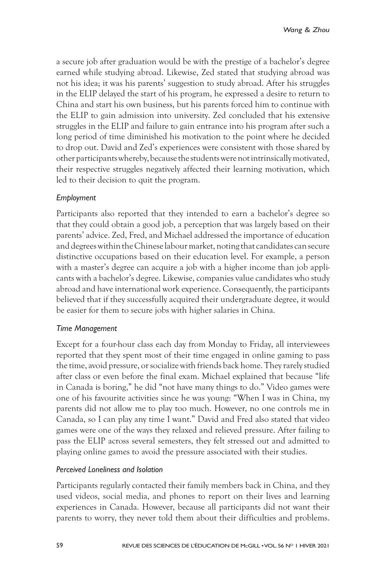a secure job after graduation would be with the prestige of a bachelor's degree earned while studying abroad. Likewise, Zed stated that studying abroad was not his idea; it was his parents' suggestion to study abroad. After his struggles in the ELIP delayed the start of his program, he expressed a desire to return to China and start his own business, but his parents forced him to continue with the ELIP to gain admission into university. Zed concluded that his extensive struggles in the ELIP and failure to gain entrance into his program after such a long period of time diminished his motivation to the point where he decided to drop out. David and Zed's experiences were consistent with those shared by other participants whereby, because the students were not intrinsically motivated, their respective struggles negatively affected their learning motivation, which led to their decision to quit the program.

## *Employment*

Participants also reported that they intended to earn a bachelor's degree so that they could obtain a good job, a perception that was largely based on their parents' advice. Zed, Fred, and Michael addressed the importance of education and degrees within the Chinese labour market, noting that candidates can secure distinctive occupations based on their education level. For example, a person with a master's degree can acquire a job with a higher income than job applicants with a bachelor's degree. Likewise, companies value candidates who study abroad and have international work experience. Consequently, the participants believed that if they successfully acquired their undergraduate degree, it would be easier for them to secure jobs with higher salaries in China.

## *Time Management*

Except for a four-hour class each day from Monday to Friday, all interviewees reported that they spent most of their time engaged in online gaming to pass the time, avoid pressure, or socialize with friends back home. They rarely studied after class or even before the final exam. Michael explained that because "life in Canada is boring," he did "not have many things to do." Video games were one of his favourite activities since he was young: "When I was in China, my parents did not allow me to play too much. However, no one controls me in Canada, so I can play any time I want." David and Fred also stated that video games were one of the ways they relaxed and relieved pressure. After failing to pass the ELIP across several semesters, they felt stressed out and admitted to playing online games to avoid the pressure associated with their studies.

## *Perceived Loneliness and Isolation*

Participants regularly contacted their family members back in China, and they used videos, social media, and phones to report on their lives and learning experiences in Canada. However, because all participants did not want their parents to worry, they never told them about their difficulties and problems.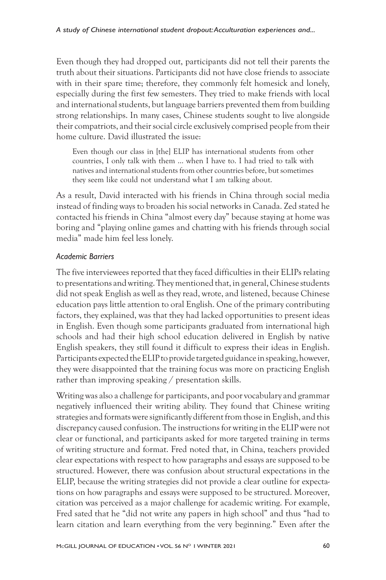Even though they had dropped out, participants did not tell their parents the truth about their situations. Participants did not have close friends to associate with in their spare time; therefore, they commonly felt homesick and lonely, especially during the first few semesters. They tried to make friends with local and international students, but language barriers prevented them from building strong relationships. In many cases, Chinese students sought to live alongside their compatriots, and their social circle exclusively comprised people from their home culture. David illustrated the issue:

Even though our class in [the] ELIP has international students from other countries, I only talk with them … when I have to. I had tried to talk with natives and international students from other countries before, but sometimes they seem like could not understand what I am talking about.

As a result, David interacted with his friends in China through social media instead of finding ways to broaden his social networks in Canada. Zed stated he contacted his friends in China "almost every day" because staying at home was boring and "playing online games and chatting with his friends through social media" made him feel less lonely.

## *Academic Barriers*

The five interviewees reported that they faced difficulties in their ELIPs relating to presentations and writing. They mentioned that, in general, Chinese students did not speak English as well as they read, wrote, and listened, because Chinese education pays little attention to oral English. One of the primary contributing factors, they explained, was that they had lacked opportunities to present ideas in English. Even though some participants graduated from international high schools and had their high school education delivered in English by native English speakers, they still found it difficult to express their ideas in English. Participants expected the ELIP to provide targeted guidance in speaking, however, they were disappointed that the training focus was more on practicing English rather than improving speaking / presentation skills.

Writing was also a challenge for participants, and poor vocabulary and grammar negatively influenced their writing ability. They found that Chinese writing strategies and formats were significantly different from those in English, and this discrepancy caused confusion. The instructions for writing in the ELIP were not clear or functional, and participants asked for more targeted training in terms of writing structure and format. Fred noted that, in China, teachers provided clear expectations with respect to how paragraphs and essays are supposed to be structured. However, there was confusion about structural expectations in the ELIP, because the writing strategies did not provide a clear outline for expectations on how paragraphs and essays were supposed to be structured. Moreover, citation was perceived as a major challenge for academic writing. For example, Fred sated that he "did not write any papers in high school" and thus "had to learn citation and learn everything from the very beginning." Even after the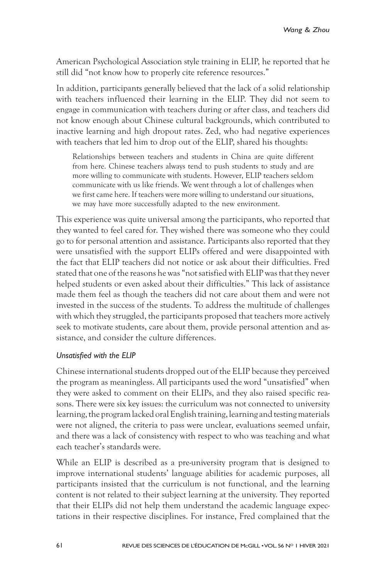American Psychological Association style training in ELIP, he reported that he still did "not know how to properly cite reference resources."

In addition, participants generally believed that the lack of a solid relationship with teachers influenced their learning in the ELIP. They did not seem to engage in communication with teachers during or after class, and teachers did not know enough about Chinese cultural backgrounds, which contributed to inactive learning and high dropout rates. Zed, who had negative experiences with teachers that led him to drop out of the ELIP, shared his thoughts:

Relationships between teachers and students in China are quite different from here. Chinese teachers always tend to push students to study and are more willing to communicate with students. However, ELIP teachers seldom communicate with us like friends. We went through a lot of challenges when we first came here. If teachers were more willing to understand our situations, we may have more successfully adapted to the new environment.

This experience was quite universal among the participants, who reported that they wanted to feel cared for. They wished there was someone who they could go to for personal attention and assistance. Participants also reported that they were unsatisfied with the support ELIPs offered and were disappointed with the fact that ELIP teachers did not notice or ask about their difficulties. Fred stated that one of the reasons he was "not satisfied with ELIP was that they never helped students or even asked about their difficulties." This lack of assistance made them feel as though the teachers did not care about them and were not invested in the success of the students. To address the multitude of challenges with which they struggled, the participants proposed that teachers more actively seek to motivate students, care about them, provide personal attention and assistance, and consider the culture differences.

## *Unsatisfied with the ELIP*

Chinese international students dropped out of the ELIP because they perceived the program as meaningless. All participants used the word "unsatisfied" when they were asked to comment on their ELIPs, and they also raised specific reasons. There were six key issues: the curriculum was not connected to university learning, the program lacked oral English training, learning and testing materials were not aligned, the criteria to pass were unclear, evaluations seemed unfair, and there was a lack of consistency with respect to who was teaching and what each teacher's standards were.

While an ELIP is described as a pre-university program that is designed to improve international students' language abilities for academic purposes, all participants insisted that the curriculum is not functional, and the learning content is not related to their subject learning at the university. They reported that their ELIPs did not help them understand the academic language expectations in their respective disciplines. For instance, Fred complained that the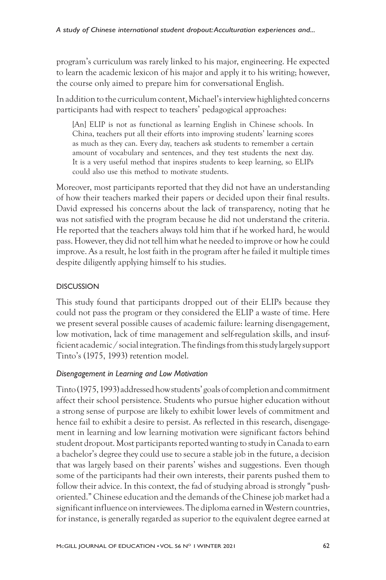program's curriculum was rarely linked to his major, engineering. He expected to learn the academic lexicon of his major and apply it to his writing; however, the course only aimed to prepare him for conversational English.

In addition to the curriculum content, Michael's interview highlighted concerns participants had with respect to teachers' pedagogical approaches:

[An] ELIP is not as functional as learning English in Chinese schools. In China, teachers put all their efforts into improving students' learning scores as much as they can. Every day, teachers ask students to remember a certain amount of vocabulary and sentences, and they test students the next day. It is a very useful method that inspires students to keep learning, so ELIPs could also use this method to motivate students.

Moreover, most participants reported that they did not have an understanding of how their teachers marked their papers or decided upon their final results. David expressed his concerns about the lack of transparency, noting that he was not satisfied with the program because he did not understand the criteria. He reported that the teachers always told him that if he worked hard, he would pass. However, they did not tell him what he needed to improve or how he could improve. As a result, he lost faith in the program after he failed it multiple times despite diligently applying himself to his studies.

## **DISCUSSION**

This study found that participants dropped out of their ELIPs because they could not pass the program or they considered the ELIP a waste of time. Here we present several possible causes of academic failure: learning disengagement, low motivation, lack of time management and self-regulation skills, and insufficient academic / social integration. The findings from this study largely support Tinto's (1975, 1993) retention model.

# *Disengagement in Learning and Low Motivation*

Tinto (1975, 1993) addressed how students' goals of completion and commitment affect their school persistence. Students who pursue higher education without a strong sense of purpose are likely to exhibit lower levels of commitment and hence fail to exhibit a desire to persist. As reflected in this research, disengagement in learning and low learning motivation were significant factors behind student dropout. Most participants reported wanting to study in Canada to earn a bachelor's degree they could use to secure a stable job in the future, a decision that was largely based on their parents' wishes and suggestions. Even though some of the participants had their own interests, their parents pushed them to follow their advice. In this context, the fad of studying abroad is strongly "pushoriented." Chinese education and the demands of the Chinese job market had a significant influence on interviewees. The diploma earned in Western countries, for instance, is generally regarded as superior to the equivalent degree earned at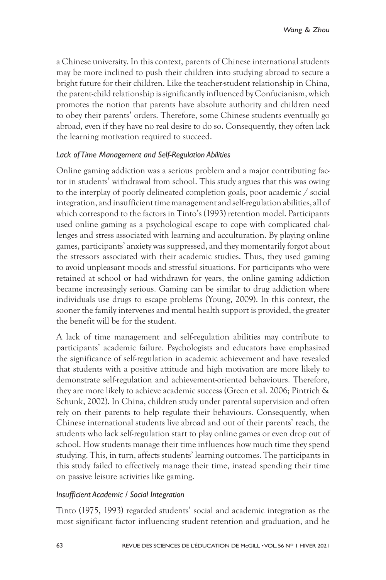a Chinese university. In this context, parents of Chinese international students may be more inclined to push their children into studying abroad to secure a bright future for their children. Like the teacher-student relationship in China, the parent-child relationship is significantly influenced by Confucianism, which promotes the notion that parents have absolute authority and children need to obey their parents' orders. Therefore, some Chinese students eventually go abroad, even if they have no real desire to do so. Consequently, they often lack the learning motivation required to succeed.

## *Lack of Time Management and Self-Regulation Abilities*

Online gaming addiction was a serious problem and a major contributing factor in students' withdrawal from school. This study argues that this was owing to the interplay of poorly delineated completion goals, poor academic / social integration, and insufficient time management and self-regulation abilities, all of which correspond to the factors in Tinto's (1993) retention model. Participants used online gaming as a psychological escape to cope with complicated challenges and stress associated with learning and acculturation. By playing online games, participants' anxiety was suppressed, and they momentarily forgot about the stressors associated with their academic studies. Thus, they used gaming to avoid unpleasant moods and stressful situations. For participants who were retained at school or had withdrawn for years, the online gaming addiction became increasingly serious. Gaming can be similar to drug addiction where individuals use drugs to escape problems (Young, 2009). In this context, the sooner the family intervenes and mental health support is provided, the greater the benefit will be for the student.

A lack of time management and self-regulation abilities may contribute to participants' academic failure. Psychologists and educators have emphasized the significance of self-regulation in academic achievement and have revealed that students with a positive attitude and high motivation are more likely to demonstrate self-regulation and achievement-oriented behaviours. Therefore, they are more likely to achieve academic success (Green et al. 2006; Pintrich & Schunk, 2002). In China, children study under parental supervision and often rely on their parents to help regulate their behaviours. Consequently, when Chinese international students live abroad and out of their parents' reach, the students who lack self-regulation start to play online games or even drop out of school. How students manage their time influences how much time they spend studying. This, in turn, affects students' learning outcomes. The participants in this study failed to effectively manage their time, instead spending their time on passive leisure activities like gaming.

## *Insufficient Academic / Social Integration*

Tinto (1975, 1993) regarded students' social and academic integration as the most significant factor influencing student retention and graduation, and he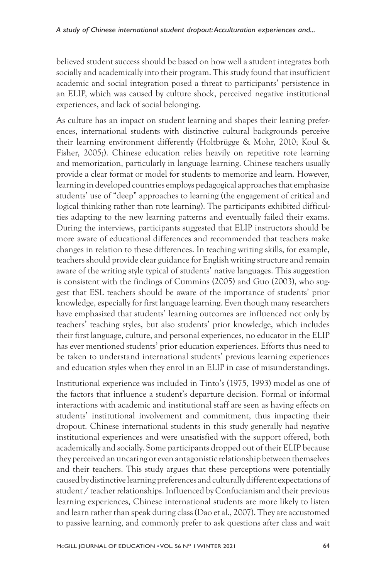believed student success should be based on how well a student integrates both socially and academically into their program. This study found that insufficient academic and social integration posed a threat to participants' persistence in an ELIP, which was caused by culture shock, perceived negative institutional experiences, and lack of social belonging.

As culture has an impact on student learning and shapes their leaning preferences, international students with distinctive cultural backgrounds perceive their learning environment differently (Holtbrügge & Mohr, 2010; Koul & Fisher, 2005;). Chinese education relies heavily on repetitive rote learning and memorization, particularly in language learning. Chinese teachers usually provide a clear format or model for students to memorize and learn. However, learning in developed countries employs pedagogical approaches that emphasize students' use of "deep" approaches to learning (the engagement of critical and logical thinking rather than rote learning). The participants exhibited difficulties adapting to the new learning patterns and eventually failed their exams. During the interviews, participants suggested that ELIP instructors should be more aware of educational differences and recommended that teachers make changes in relation to these differences. In teaching writing skills, for example, teachers should provide clear guidance for English writing structure and remain aware of the writing style typical of students' native languages. This suggestion is consistent with the findings of Cummins (2005) and Guo (2003), who suggest that ESL teachers should be aware of the importance of students' prior knowledge, especially for first language learning. Even though many researchers have emphasized that students' learning outcomes are influenced not only by teachers' teaching styles, but also students' prior knowledge, which includes their first language, culture, and personal experiences, no educator in the ELIP has ever mentioned students' prior education experiences. Efforts thus need to be taken to understand international students' previous learning experiences and education styles when they enrol in an ELIP in case of misunderstandings.

Institutional experience was included in Tinto's (1975, 1993) model as one of the factors that influence a student's departure decision. Formal or informal interactions with academic and institutional staff are seen as having effects on students' institutional involvement and commitment, thus impacting their dropout. Chinese international students in this study generally had negative institutional experiences and were unsatisfied with the support offered, both academically and socially. Some participants dropped out of their ELIP because they perceived an uncaring or even antagonistic relationship between themselves and their teachers. This study argues that these perceptions were potentially caused by distinctive learning preferences and culturally different expectations of student / teacher relationships. Influenced by Confucianism and their previous learning experiences, Chinese international students are more likely to listen and learn rather than speak during class (Dao et al., 2007). They are accustomed to passive learning, and commonly prefer to ask questions after class and wait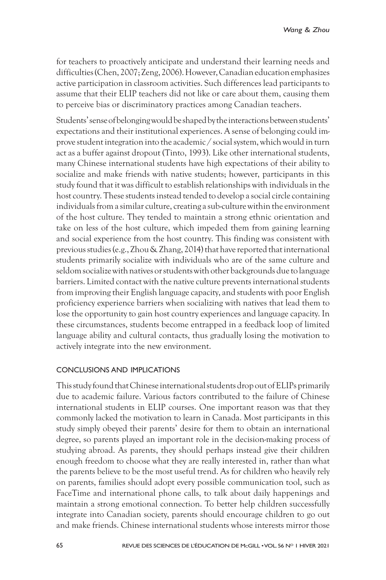for teachers to proactively anticipate and understand their learning needs and difficulties (Chen, 2007; Zeng, 2006). However, Canadian education emphasizes active participation in classroom activities. Such differences lead participants to assume that their ELIP teachers did not like or care about them, causing them to perceive bias or discriminatory practices among Canadian teachers.

Students' sense of belonging would be shaped by the interactions between students' expectations and their institutional experiences. A sense of belonging could improve student integration into the academic / social system, which would in turn act as a buffer against dropout (Tinto, 1993). Like other international students, many Chinese international students have high expectations of their ability to socialize and make friends with native students; however, participants in this study found that it was difficult to establish relationships with individuals in the host country. These students instead tended to develop a social circle containing individuals from a similar culture, creating a sub-culture within the environment of the host culture. They tended to maintain a strong ethnic orientation and take on less of the host culture, which impeded them from gaining learning and social experience from the host country. This finding was consistent with previous studies (e.g., Zhou & Zhang, 2014) that have reported that international students primarily socialize with individuals who are of the same culture and seldom socialize with natives or students with other backgrounds due to language barriers. Limited contact with the native culture prevents international students from improving their English language capacity, and students with poor English proficiency experience barriers when socializing with natives that lead them to lose the opportunity to gain host country experiences and language capacity. In these circumstances, students become entrapped in a feedback loop of limited language ability and cultural contacts, thus gradually losing the motivation to actively integrate into the new environment.

## CONCLUSIONS AND IMPLICATIONS

This study found that Chinese international students drop out of ELIPs primarily due to academic failure. Various factors contributed to the failure of Chinese international students in ELIP courses. One important reason was that they commonly lacked the motivation to learn in Canada. Most participants in this study simply obeyed their parents' desire for them to obtain an international degree, so parents played an important role in the decision-making process of studying abroad. As parents, they should perhaps instead give their children enough freedom to choose what they are really interested in, rather than what the parents believe to be the most useful trend. As for children who heavily rely on parents, families should adopt every possible communication tool, such as FaceTime and international phone calls, to talk about daily happenings and maintain a strong emotional connection. To better help children successfully integrate into Canadian society, parents should encourage children to go out and make friends. Chinese international students whose interests mirror those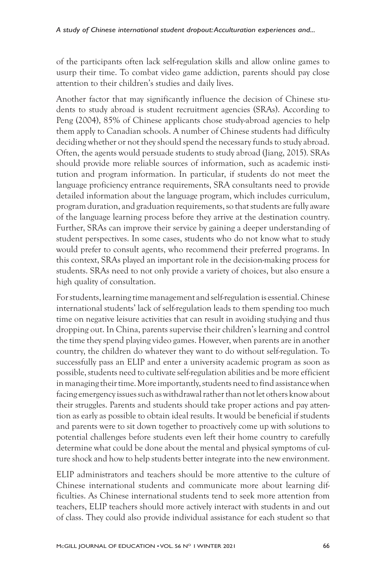of the participants often lack self-regulation skills and allow online games to usurp their time. To combat video game addiction, parents should pay close attention to their children's studies and daily lives.

Another factor that may significantly influence the decision of Chinese students to study abroad is student recruitment agencies (SRAs). According to Peng (2004), 85% of Chinese applicants chose study-abroad agencies to help them apply to Canadian schools. A number of Chinese students had difficulty deciding whether or not they should spend the necessary funds to study abroad. Often, the agents would persuade students to study abroad (Jiang, 2015). SRAs should provide more reliable sources of information, such as academic institution and program information. In particular, if students do not meet the language proficiency entrance requirements, SRA consultants need to provide detailed information about the language program, which includes curriculum, program duration, and graduation requirements, so that students are fully aware of the language learning process before they arrive at the destination country. Further, SRAs can improve their service by gaining a deeper understanding of student perspectives. In some cases, students who do not know what to study would prefer to consult agents, who recommend their preferred programs. In this context, SRAs played an important role in the decision-making process for students. SRAs need to not only provide a variety of choices, but also ensure a high quality of consultation.

For students, learning time management and self-regulation is essential. Chinese international students' lack of self-regulation leads to them spending too much time on negative leisure activities that can result in avoiding studying and thus dropping out. In China, parents supervise their children's learning and control the time they spend playing video games. However, when parents are in another country, the children do whatever they want to do without self-regulation. To successfully pass an ELIP and enter a university academic program as soon as possible, students need to cultivate self-regulation abilities and be more efficient in managing their time. More importantly, students need to find assistance when facing emergency issues such as withdrawal rather than not let others know about their struggles. Parents and students should take proper actions and pay attention as early as possible to obtain ideal results. It would be beneficial if students and parents were to sit down together to proactively come up with solutions to potential challenges before students even left their home country to carefully determine what could be done about the mental and physical symptoms of culture shock and how to help students better integrate into the new environment.

ELIP administrators and teachers should be more attentive to the culture of Chinese international students and communicate more about learning difficulties. As Chinese international students tend to seek more attention from teachers, ELIP teachers should more actively interact with students in and out of class. They could also provide individual assistance for each student so that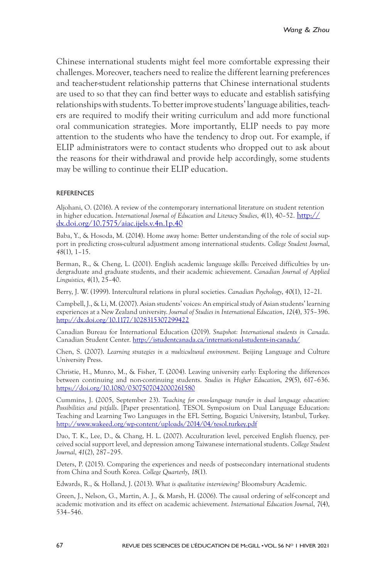Chinese international students might feel more comfortable expressing their challenges. Moreover, teachers need to realize the different learning preferences and teacher-student relationship patterns that Chinese international students are used to so that they can find better ways to educate and establish satisfying relationships with students. To better improve students' language abilities, teachers are required to modify their writing curriculum and add more functional oral communication strategies. More importantly, ELIP needs to pay more attention to the students who have the tendency to drop out. For example, if ELIP administrators were to contact students who dropped out to ask about the reasons for their withdrawal and provide help accordingly, some students may be willing to continue their ELIP education.

#### REFERENCES

Aljohani, O. (2016). A review of the contemporary international literature on student retention in higher education. *International Journal of Education and Literacy Studies*, *4*(1), 40–52. http:// dx.doi.org/10.7575/aiac.ijels.v.4n.1p.40

Baba, Y., & Hosoda, M. (2014). Home away home: Better understanding of the role of social support in predicting cross-cultural adjustment among international students. *College Student Journal*, *48*(1), 1–15.

Berman, R., & Cheng, L. (2001). English academic language skills: Perceived difficulties by undergraduate and graduate students, and their academic achievement. *Canadian Journal of Applied Linguistics*, *4*(1), 25–40.

Berry, J. W. (1999). Intercultural relations in plural societies. *Canadian Psychology*, *40*(1), 12–21.

Campbell, J., & Li, M. (2007). Asian students' voices: An empirical study of Asian students' learning experiences at a New Zealand university. *Journal of Studies in International Education*, *12*(4), 375–396. http://dx.doi.org/10.1177/1028315307299422

Canadian Bureau for International Education (2019). *Snapshot: International students in Canada*. Canadian Student Center. http://istudentcanada.ca/international-students-in-canada/

Chen, S. (2007). *Learning strategies in a multicultural environment*. Beijing Language and Culture University Press.

Christie, H., Munro, M., & Fisher, T. (2004). Leaving university early: Exploring the differences between continuing and non-continuing students. *Studies in Higher Education*, *29*(5), 617–636. https://doi.org/10.1080/0307507042000261580

Cummins, J. (2005, September 23). *Teaching for cross-language transfer in dual language education: Possibilities and pitfalls*. [Paper presentation]. TESOL Symposium on Dual Language Education: Teaching and Learning Two Languages in the EFL Setting, Bogazici University, Istanbul, Turkey. http://www.wakeed.org/wp-content/uploads/2014/04/tesol.turkey.pdf

Dao, T. K., Lee, D., & Chang, H. L. (2007). Acculturation level, perceived English fluency, perceived social support level, and depression among Taiwanese international students. *College Student Journal*, *41*(2), 287–295.

Deters, P. (2015). Comparing the experiences and needs of postsecondary international students from China and South Korea. *College Quarterly*, *18*(1).

Edwards, R., & Holland, J. (2013). *What is qualitative interviewing?* Bloomsbury Academic.

Green, J., Nelson, G., Martin, A. J., & Marsh, H. (2006). The causal ordering of self-concept and academic motivation and its effect on academic achievement. *International Education Journal*, *7*(4), 534–546.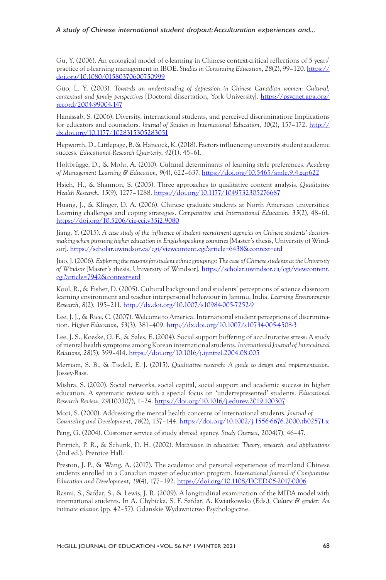#### *A study of Chinese international student dropout: Acculturation experiences and...*

Gu, Y. (2006). An ecological model of e-learning in Chinese context-critical reflections of 5 years' practice of e-learning management in IBOE. *Studies in Continuing Education*, *28*(2), 99–120. https:// doi.org/10.1080/01580370600750999

Guo, L. Y. (2003). *Towards an understanding of depression in Chinese Canadian women: Cultural, contextual and family perspectives* [Doctoral dissertation, York University]. https://psycnet.apa.org/ record/2004-99004-147

Hanassab, S. (2006). Diversity, international students, and perceived discrimination: Implications for educators and counselors. *Journal of Studies in International Education*, *10*(2), 157–172. http:// dx.doi.org/10.1177/1028315305283051

Hepworth, D., Littlepage, B. & Hancock, K. (2018). Factors influencing university student academic success. *Educational Research Quarterly*, *42*(1), 45–61.

Holtbrügge, D., & Mohr, A. (2010). Cultural determinants of learning style preferences. *Academy of Management Learning & Education*, *9*(4), 622–637. https://doi.org/10.5465/amle.9.4.zqr622

Hsieh, H., & Shannon, S. (2005). Three approaches to qualitative content analysis. *Qualitative Health Research*, *15*(9), 1277–1288. https://doi.org/10.1177/1049732305276687

Huang, J., & Klinger, D. A. (2006). Chinese graduate students at North American universities: Learning challenges and coping strategies. *Comparative and International Education*, *35*(2), 48–61. https://doi.org/10.5206/cie-eci.v35i2.9080

Jiang, Y. (2015). *A case study of the influence of student recruitment agencies on Chinese students' decisionmaking when pursuing higher education in English-speaking countries* [Master's thesis, University of Windsor]. https://scholar.uwindsor.ca/cgi/viewcontent.cgi?article=6438&context=etd

Jiao, J. (2006). *Exploring the reasons for student ethnic groupings: The case of Chinese students at the University of Windsor* [Master's thesis, University of Windsor]. https://scholar.uwindsor.ca/cgi/viewcontent. cgi?article=7942&context=etd

Koul, R., & Fisher, D. (2005). Cultural background and students' perceptions of science classroom learning environment and teacher interpersonal behaviour in Jammu, India. *Learning Environments Research*, *8*(2), 195–211. http://dx.doi.org/10.1007/s10984-005-7252-9

Lee, J. J., & Rice, C. (2007). Welcome to America: International student perceptions of discrimination. *Higher Education*, *53*(3), 381–409. http://dx.doi.org/10.1007/s10734-005-4508-3

Lee, J. S., Koeske, G. F., & Sales, E. (2004). Social support buffering of acculturative stress: A study of mental health symptoms among Korean international students. *International Journal of Intercultural Relations*, *28*(5), 399–414. https://doi.org/10.1016/j.ijintrel.2004.08.005

Merriam, S. B., & Tisdell, E. J. (2015). *Qualitative research: A guide to design and implementation*. Jossey-Bass.

Mishra, S. (2020). Social networks, social capital, social support and academic success in higher education: A systematic review with a special focus on 'underrepresented' students. *Educational Research Review*, *29*(100307), 1–24. https://doi.org/10.1016/j.edurev.2019.100307

Mori, S. (2000). Addressing the mental health concerns of international students. *Journal of Counseling and Development*, *78*(2), 137–144. https://doi.org/10.1002/j.1556-6676.2000.tb02571.x

Peng, G. (2004). Customer service of study abroad agency. *Study Oversea*, 2004(7), 46–47.

Pintrich, P. R., & Schunk, D. H. (2002). *Motivation in education: Theory, research, and applications* (2nd ed.). Prentice Hall.

Preston, J. P., & Wang, A. (2017). The academic and personal experiences of mainland Chinese students enrolled in a Canadian master of education program. *International Journal of Comparative Education and Development*, *19*(4), 177–192. https://doi.org/10.1108/IJCED-05-2017-0006

Rasmi, S., Safdar, S., & Lewis, J. R. (2009). A longitudinal examination of the MIDA model with international students. In A. Chybicka, S. F. Safdar, A. Kwiatkowska (Eds.), *Culture & gender: An intimate relation* (pp. 42–57). Gdanskie Wydawnictwo Psychologiczne.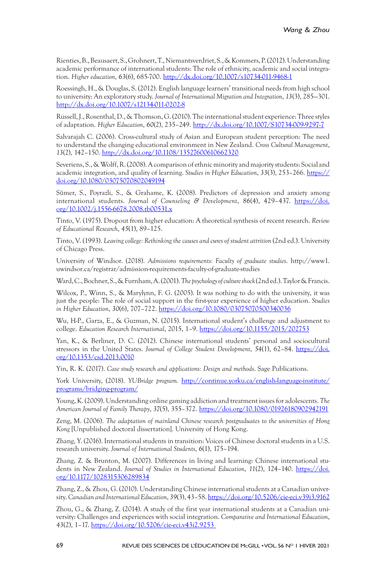Rienties, B., Beausaert, S., Grohnert, T., Niemantsverdriet, S., & Kommers, P. (2012). Understanding academic performance of international students: The role of ethnicity, academic and social integration. *Higher education, 63*(6), 685-700. http://dx.doi.org/10.1007/s10734-011-9468-1

Roessingh, H., & Douglas, S. (2012). English language learners' transitional needs from high school to university: An exploratory study. *Journal of International Migration and Integration*, *13*(3), 285—301. http://dx.doi.org/10.1007/s12134-011-0202-8

Russell, J., Rosenthal, D., & Thomson, G. (2010). The international student experience: Three styles of adaptation. *Higher Education*, *60*(2), 235–249. http://dx.doi.org/10.1007/S10734-009-9297-7

Salvarajah C. (2006). Cross-cultural study of Asian and European student perception: The need to understand the changing educational environment in New Zealand. *Cross Cultural Management*, *13*(2), 142–150. http://dx.doi.org/10.1108/13527600610662320

Severiens, S., & Wolff, R. (2008). A comparison of ethnic minority and majority students: Social and academic integration, and quality of learning. *Studies in Higher Education*, *33*(3), 253–266. https:// doi.org/10.1080/03075070802049194

Sümer, S., Poyrazli, S., & Grahame, K. (2008). Predictors of depression and anxiety among international students. *Journal of Counseling & Development*, *86*(4), 429–437. https://doi. org/10.1002/j.1556-6678.2008.tb00531.x

Tinto, V. (1975). Dropout from higher education: A theoretical synthesis of recent research. *Review of Educational Research*, *45*(1), 89–125.

Tinto, V. (1993). *Leaving college: Rethinking the causes and cures of student attrition* (2nd ed.). University of Chicago Press.

University of Windsor. (2018). *Admissions requirements: Faculty of graduate studies*. http://www1. uwindsor.ca/registrar/admission-requirements-faculty-of-graduate-studies

Ward, C., Bochner, S., & Furnham, A. (2001). *The psychology of culture shock* (2nd ed.). Taylor & Francis.

Wilcox, P., Winn, S., & Marylynn, F. G. (2005). It was nothing to do with the university, it was just the people: The role of social support in the first-year experience of higher education. *Studies in Higher Education*, *30*(6), 707–722. https://doi.org/10.1080/03075070500340036

Wu, H-P., Garza, E., & Guzman, N. (2015). International student's challenge and adjustment to college. *Education Research International*, 2015, 1–9. https://doi.org/10.1155/2015/202753

Yan, K., & Berliner, D. C. (2012). Chinese international students' personal and sociocultural stressors in the United States. *Journal of College Student Development*, *54*(1), 62–84. https://doi. org/10.1353/csd.2013.0010

Yin, R. K. (2017). *Case study research and applications: Design and methods*. Sage Publications.

York University, (2018). *YUBridge program.* http://continue.yorku.ca/english-language-institute/ programs/bridging-program/

Young, K. (2009). Understanding online gaming addiction and treatment issues for adolescents. *The American Journal of Family Therapy*, *37*(5), 355–372. https://doi.org/10.1080/01926180902942191

Zeng, M. (2006). *The adaptation of mainland Chinese research postgraduates to the universities of Hong Kong* [Unpublished doctoral dissertation]. University of Hong Kong.

Zhang, Y. (2016). International students in transition: Voices of Chinese doctoral students in a U.S. research university. *Journal of International Students*, *6*(1), 175–194.

Zhang, Z. & Brunton, M. (2007). Differences in living and learning: Chinese international students in New Zealand. *Journal of Studies in International Education*, *11*(2), 124–140. https://doi. org/10.1177/1028315306289834

Zhang, Z., & Zhou, G. (2010). Understanding Chinese international students at a Canadian university. *Canadian and International Education*, *39*(3), 43–58. https://doi.org/10.5206/cie-eci.v39i3.9162

Zhou, G., & Zhang, Z. (2014). A study of the first year international students at a Canadian university: Challenges and experiences with social integration. *Comparative and International Education*, *43*(2), 1–17. https://doi.org/10.5206/cie-eci.v43i2.9253